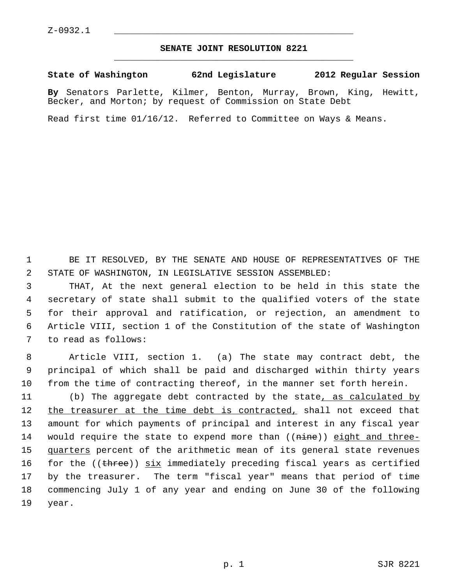## **SENATE JOINT RESOLUTION 8221** \_\_\_\_\_\_\_\_\_\_\_\_\_\_\_\_\_\_\_\_\_\_\_\_\_\_\_\_\_\_\_\_\_\_\_\_\_\_\_\_\_\_\_\_\_

## **State of Washington 62nd Legislature 2012 Regular Session**

**By** Senators Parlette, Kilmer, Benton, Murray, Brown, King, Hewitt, Becker, and Morton; by request of Commission on State Debt

Read first time 01/16/12. Referred to Committee on Ways & Means.

 1 BE IT RESOLVED, BY THE SENATE AND HOUSE OF REPRESENTATIVES OF THE 2 STATE OF WASHINGTON, IN LEGISLATIVE SESSION ASSEMBLED:

 3 THAT, At the next general election to be held in this state the 4 secretary of state shall submit to the qualified voters of the state 5 for their approval and ratification, or rejection, an amendment to 6 Article VIII, section 1 of the Constitution of the state of Washington 7 to read as follows:

 8 Article VIII, section 1. (a) The state may contract debt, the 9 principal of which shall be paid and discharged within thirty years 10 from the time of contracting thereof, in the manner set forth herein.

11 (b) The aggregate debt contracted by the state, as calculated by 12 the treasurer at the time debt is contracted, shall not exceed that 13 amount for which payments of principal and interest in any fiscal year 14 would require the state to expend more than ((nine)) eight and three-15 quarters percent of the arithmetic mean of its general state revenues 16 for the  $(\theta)$  (three)) six immediately preceding fiscal years as certified 17 by the treasurer. The term "fiscal year" means that period of time 18 commencing July 1 of any year and ending on June 30 of the following 19 year.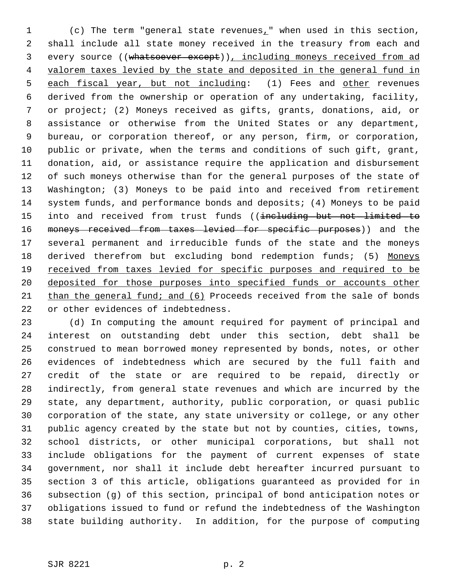1 (c) The term "general state revenues," when used in this section, 2 shall include all state money received in the treasury from each and 3 every source ((whatsoever except)), including moneys received from ad 4 valorem taxes levied by the state and deposited in the general fund in 5 each fiscal year, but not including: (1) Fees and other revenues 6 derived from the ownership or operation of any undertaking, facility, 7 or project; (2) Moneys received as gifts, grants, donations, aid, or 8 assistance or otherwise from the United States or any department, 9 bureau, or corporation thereof, or any person, firm, or corporation, 10 public or private, when the terms and conditions of such gift, grant, 11 donation, aid, or assistance require the application and disbursement 12 of such moneys otherwise than for the general purposes of the state of 13 Washington; (3) Moneys to be paid into and received from retirement 14 system funds, and performance bonds and deposits; (4) Moneys to be paid 15 into and received from trust funds ((including but not limited to 16 moneys received from taxes levied for specific purposes)) and the 17 several permanent and irreducible funds of the state and the moneys 18 derived therefrom but excluding bond redemption funds; (5) Moneys 19 received from taxes levied for specific purposes and required to be 20 deposited for those purposes into specified funds or accounts other 21 than the general fund; and (6) Proceeds received from the sale of bonds 22 or other evidences of indebtedness.

23 (d) In computing the amount required for payment of principal and 24 interest on outstanding debt under this section, debt shall be 25 construed to mean borrowed money represented by bonds, notes, or other 26 evidences of indebtedness which are secured by the full faith and 27 credit of the state or are required to be repaid, directly or 28 indirectly, from general state revenues and which are incurred by the 29 state, any department, authority, public corporation, or quasi public 30 corporation of the state, any state university or college, or any other 31 public agency created by the state but not by counties, cities, towns, 32 school districts, or other municipal corporations, but shall not 33 include obligations for the payment of current expenses of state 34 government, nor shall it include debt hereafter incurred pursuant to 35 section 3 of this article, obligations guaranteed as provided for in 36 subsection (g) of this section, principal of bond anticipation notes or 37 obligations issued to fund or refund the indebtedness of the Washington 38 state building authority. In addition, for the purpose of computing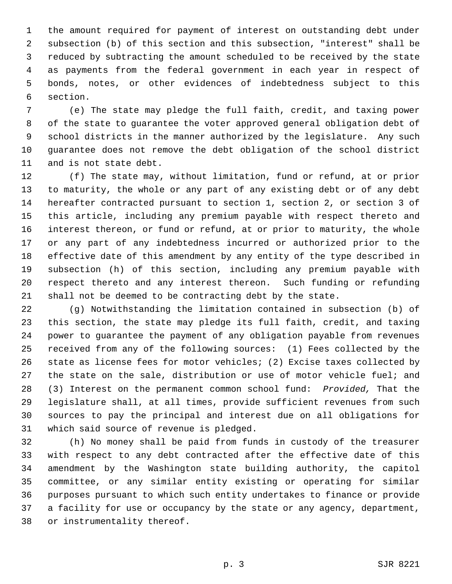1 the amount required for payment of interest on outstanding debt under 2 subsection (b) of this section and this subsection, "interest" shall be 3 reduced by subtracting the amount scheduled to be received by the state 4 as payments from the federal government in each year in respect of 5 bonds, notes, or other evidences of indebtedness subject to this 6 section.

 7 (e) The state may pledge the full faith, credit, and taxing power 8 of the state to guarantee the voter approved general obligation debt of 9 school districts in the manner authorized by the legislature. Any such 10 guarantee does not remove the debt obligation of the school district 11 and is not state debt.

12 (f) The state may, without limitation, fund or refund, at or prior 13 to maturity, the whole or any part of any existing debt or of any debt 14 hereafter contracted pursuant to section 1, section 2, or section 3 of 15 this article, including any premium payable with respect thereto and 16 interest thereon, or fund or refund, at or prior to maturity, the whole 17 or any part of any indebtedness incurred or authorized prior to the 18 effective date of this amendment by any entity of the type described in 19 subsection (h) of this section, including any premium payable with 20 respect thereto and any interest thereon. Such funding or refunding 21 shall not be deemed to be contracting debt by the state.

22 (g) Notwithstanding the limitation contained in subsection (b) of 23 this section, the state may pledge its full faith, credit, and taxing 24 power to guarantee the payment of any obligation payable from revenues 25 received from any of the following sources: (1) Fees collected by the 26 state as license fees for motor vehicles; (2) Excise taxes collected by 27 the state on the sale, distribution or use of motor vehicle fuel; and 28 (3) Interest on the permanent common school fund: *Provided,* That the 29 legislature shall, at all times, provide sufficient revenues from such 30 sources to pay the principal and interest due on all obligations for 31 which said source of revenue is pledged.

32 (h) No money shall be paid from funds in custody of the treasurer 33 with respect to any debt contracted after the effective date of this 34 amendment by the Washington state building authority, the capitol 35 committee, or any similar entity existing or operating for similar 36 purposes pursuant to which such entity undertakes to finance or provide 37 a facility for use or occupancy by the state or any agency, department, 38 or instrumentality thereof.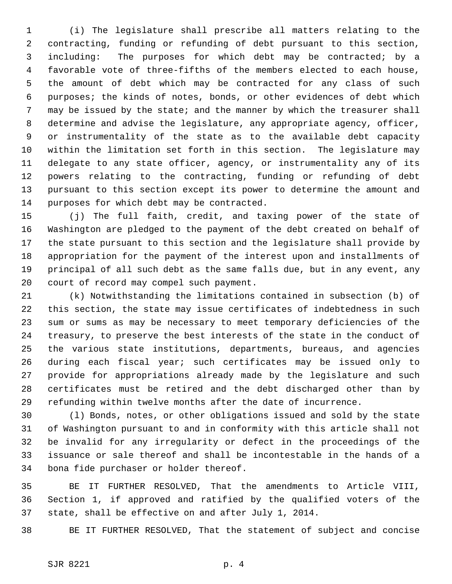1 (i) The legislature shall prescribe all matters relating to the 2 contracting, funding or refunding of debt pursuant to this section, 3 including: The purposes for which debt may be contracted; by a 4 favorable vote of three-fifths of the members elected to each house, 5 the amount of debt which may be contracted for any class of such 6 purposes; the kinds of notes, bonds, or other evidences of debt which 7 may be issued by the state; and the manner by which the treasurer shall 8 determine and advise the legislature, any appropriate agency, officer, 9 or instrumentality of the state as to the available debt capacity 10 within the limitation set forth in this section. The legislature may 11 delegate to any state officer, agency, or instrumentality any of its 12 powers relating to the contracting, funding or refunding of debt 13 pursuant to this section except its power to determine the amount and 14 purposes for which debt may be contracted.

15 (j) The full faith, credit, and taxing power of the state of 16 Washington are pledged to the payment of the debt created on behalf of 17 the state pursuant to this section and the legislature shall provide by 18 appropriation for the payment of the interest upon and installments of 19 principal of all such debt as the same falls due, but in any event, any 20 court of record may compel such payment.

21 (k) Notwithstanding the limitations contained in subsection (b) of 22 this section, the state may issue certificates of indebtedness in such 23 sum or sums as may be necessary to meet temporary deficiencies of the 24 treasury, to preserve the best interests of the state in the conduct of 25 the various state institutions, departments, bureaus, and agencies 26 during each fiscal year; such certificates may be issued only to 27 provide for appropriations already made by the legislature and such 28 certificates must be retired and the debt discharged other than by 29 refunding within twelve months after the date of incurrence.

30 (l) Bonds, notes, or other obligations issued and sold by the state 31 of Washington pursuant to and in conformity with this article shall not 32 be invalid for any irregularity or defect in the proceedings of the 33 issuance or sale thereof and shall be incontestable in the hands of a 34 bona fide purchaser or holder thereof.

35 BE IT FURTHER RESOLVED, That the amendments to Article VIII, 36 Section 1, if approved and ratified by the qualified voters of the 37 state, shall be effective on and after July 1, 2014.

38 BE IT FURTHER RESOLVED, That the statement of subject and concise